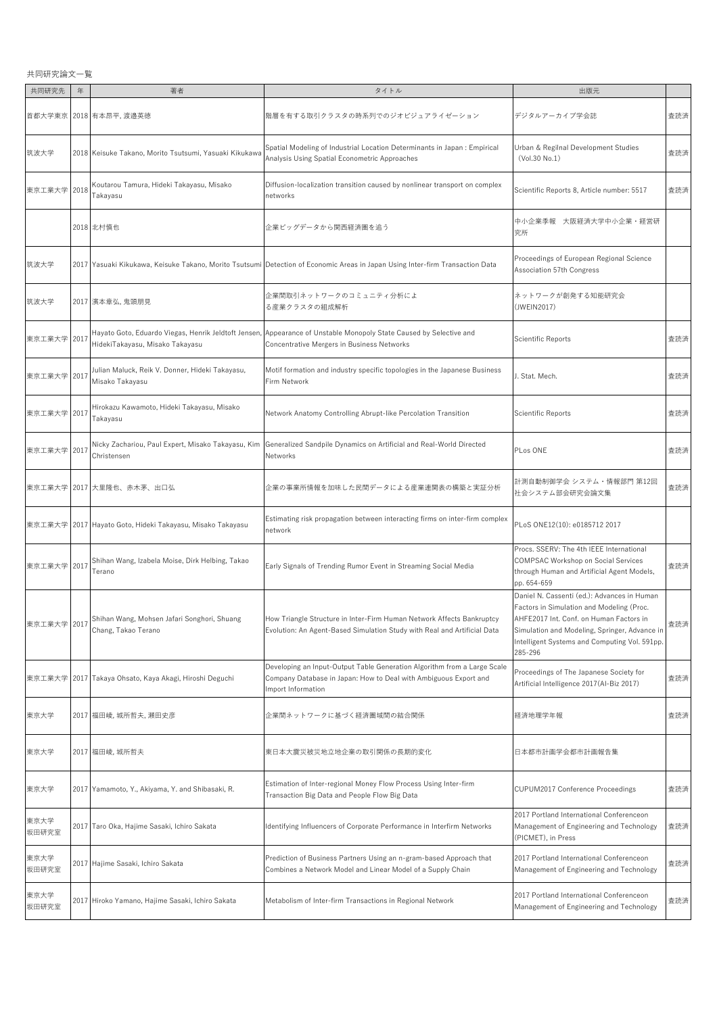共同研究論文一覧

| 共同研究先         | 年    | 著者                                                                 | タイトル                                                                                                                                                               | 出版元                                                                                                                                                                                                                                              |     |
|---------------|------|--------------------------------------------------------------------|--------------------------------------------------------------------------------------------------------------------------------------------------------------------|--------------------------------------------------------------------------------------------------------------------------------------------------------------------------------------------------------------------------------------------------|-----|
| 首都大学東京        |      | 2018 有本昂平, 渡邉英徳                                                    | 階層を有する取引クラスタの時系列でのジオビジュアライゼーション                                                                                                                                    | デジタルアーカイブ学会誌                                                                                                                                                                                                                                     | 査読済 |
| 筑波大学          |      | 2018 Keisuke Takano, Morito Tsutsumi, Yasuaki Kikukawa             | Spatial Modeling of Industrial Location Determinants in Japan : Empirical<br>Analysis Using Spatial Econometric Approaches                                         | Urban & Regilnal Development Studies<br>(Vol.30 No.1)                                                                                                                                                                                            | 査読済 |
| 東京工業大学 2018   |      | Koutarou Tamura, Hideki Takayasu, Misako<br>Takayasu               | Diffusion-localization transition caused by nonlinear transport on complex<br>networks                                                                             | Scientific Reports 8, Article number: 5517                                                                                                                                                                                                       | 査読済 |
|               |      | 2018 北村慎也                                                          | 企業ビッグデータから関西経済圏を追う                                                                                                                                                 | 中小企業季報 大阪経済大学中小企業・経営研<br>究所                                                                                                                                                                                                                      |     |
| 筑波大学          |      |                                                                    | 2017 Yasuaki Kikukawa, Keisuke Takano, Morito Tsutsumi Detection of Economic Areas in Japan Using Inter-firm Transaction Data                                      | Proceedings of European Regional Science<br>Association 57th Congress                                                                                                                                                                            |     |
| 筑波大学          |      | 2017 濱本章弘, 鬼頭朋見                                                    | 企業間取引ネットワークのコミュニティ分析によ<br>る産業クラスタの組成解析                                                                                                                             | ネットワークが創発する知能研究会<br>(JWEIN2017)                                                                                                                                                                                                                  |     |
| 東京工業大学 2017   |      | HidekiTakayasu, Misako Takayasu                                    | Hayato Goto, Eduardo Viegas, Henrik Jeldtoft Jensen, Appearance of Unstable Monopoly State Caused by Selective and<br>Concentrative Mergers in Business Networks   | Scientific Reports                                                                                                                                                                                                                               | 査読済 |
| 東京工業大学        | 2017 | Julian Maluck, Reik V. Donner, Hideki Takayasu,<br>Misako Takayasu | Motif formation and industry specific topologies in the Japanese Business<br>Firm Network                                                                          | J. Stat. Mech.                                                                                                                                                                                                                                   | 査読済 |
| 東京工業大学 2017   |      | Hirokazu Kawamoto, Hideki Takayasu, Misako<br>Takavasu             | Network Anatomy Controlling Abrupt-like Percolation Transition                                                                                                     | Scientific Reports                                                                                                                                                                                                                               | 査読済 |
| 東京工業大学 2017   |      | Nicky Zachariou, Paul Expert, Misako Takayasu, Kim<br>Christensen  | Generalized Sandpile Dynamics on Artificial and Real-World Directed<br>Networks                                                                                    | PLos ONE                                                                                                                                                                                                                                         | 査読済 |
|               |      | 東京工業大学 2017 大里隆也、赤木茅、出口弘                                           | 企業の事業所情報を加味した民間データによる産業連関表の構築と実証分析                                                                                                                                 | 計測自動制御学会 システム・情報部門 第12回<br>社会システム部会研究会論文集                                                                                                                                                                                                        | 査読済 |
|               |      | 東京工業大学  2017  Hayato Goto, Hideki Takayasu, Misako Takayasu        | Estimating risk propagation between interacting firms on inter-firm complex<br>network                                                                             | PLoS ONE12(10): e0185712 2017                                                                                                                                                                                                                    |     |
| 東京工業大学 2017   |      | Shihan Wang, Izabela Moise, Dirk Helbing, Takao<br>Terano          | Early Signals of Trending Rumor Event in Streaming Social Media                                                                                                    | Procs. SSERV: The 4th IEEE International<br>COMPSAC Workshop on Social Services<br>through Human and Artificial Agent Models,<br>pp. 654-659                                                                                                     | 査読済 |
| 東京工業大学 2017   |      | Shihan Wang, Mohsen Jafari Songhori, Shuang<br>Chang, Takao Terano | How Triangle Structure in Inter-Firm Human Network Affects Bankruptcy<br>Evolution: An Agent-Based Simulation Study with Real and Artificial Data                  | Daniel N. Cassenti (ed.): Advances in Human<br>Factors in Simulation and Modeling (Proc.<br>AHFE2017 Int. Conf. on Human Factors in<br>Simulation and Modeling, Springer, Advance in<br>Intelligent Systems and Computing Vol. 591pp.<br>285-296 | 査読済 |
| 東京工業大学        |      | 2017 Takaya Ohsato, Kaya Akagi, Hiroshi Deguchi                    | Developing an Input-Output Table Generation Algorithm from a Large Scale<br>Company Database in Japan: How to Deal with Ambiguous Export and<br>Import Information | Proceedings of The Japanese Society for<br>Artificial Intelligence 2017(Al-Biz 2017)                                                                                                                                                             | 査読済 |
| 東京大学          |      | 2017 福田崚,城所哲夫,瀬田史彦                                                 | 企業間ネットワークに基づく経済圏域間の結合関係                                                                                                                                            | 経済地理学年報                                                                                                                                                                                                                                          | 査読済 |
| 東京大学          |      | 2017 福田崚, 城所哲夫                                                     | 東日本大震災被災地立地企業の取引関係の長期的変化                                                                                                                                           | 日本都市計画学会都市計画報告集                                                                                                                                                                                                                                  |     |
| 東京大学          |      | 2017 Yamamoto, Y., Akiyama, Y. and Shibasaki, R.                   | Estimation of Inter-regional Money Flow Process Using Inter-firm<br>Transaction Big Data and People Flow Big Data                                                  | CUPUM2017 Conference Proceedings                                                                                                                                                                                                                 | 査読済 |
| 東京大学<br>坂田研究室 |      | 2017 Taro Oka, Hajime Sasaki, Ichiro Sakata                        | Identifying Influencers of Corporate Performance in Interfirm Networks                                                                                             | 2017 Portland International Conferenceon<br>Management of Engineering and Technology<br>(PICMET), in Press                                                                                                                                       | 査読済 |
| 東京大学<br>坂田研究室 |      | 2017 Hajime Sasaki, Ichiro Sakata                                  | Prediction of Business Partners Using an n-gram-based Approach that<br>Combines a Network Model and Linear Model of a Supply Chain                                 | 2017 Portland International Conferenceon<br>Management of Engineering and Technology                                                                                                                                                             | 査読済 |
| 東京大学<br>坂田研究室 |      | 2017 Hiroko Yamano, Hajime Sasaki, Ichiro Sakata                   | Metabolism of Inter-firm Transactions in Regional Network                                                                                                          | 2017 Portland International Conferenceon<br>Management of Engineering and Technology                                                                                                                                                             | 査読済 |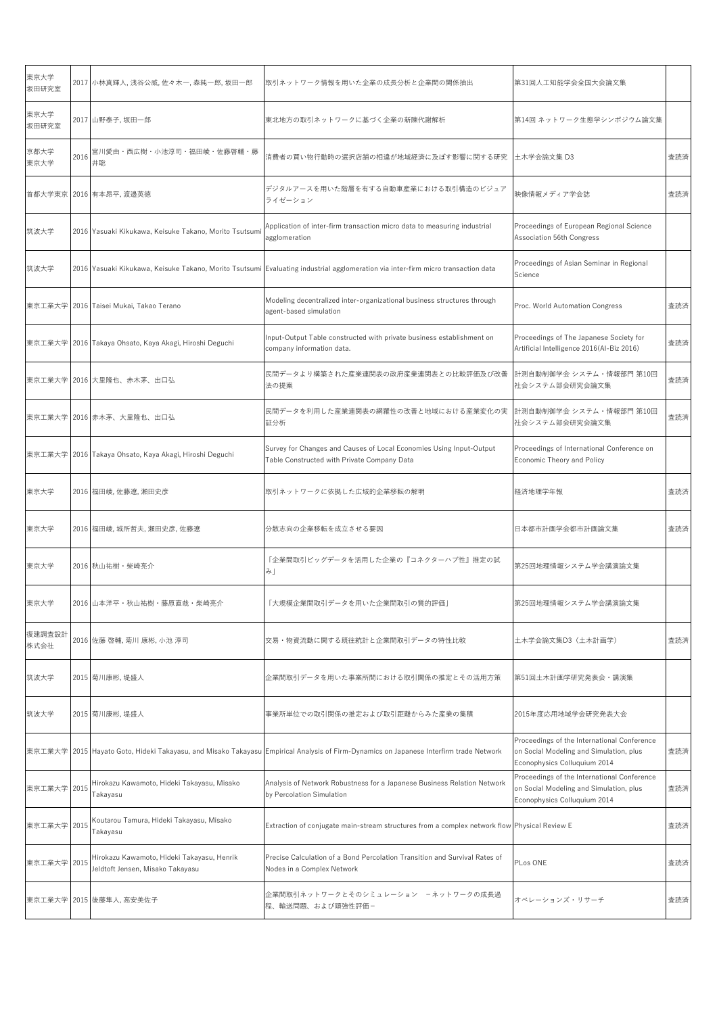| 東京大学<br>坂田研究室  |      | 2017 小林真輝人,浅谷公威,佐々木一,森純一郎,坂田一郎                                                 | 取引ネットワーク情報を用いた企業の成長分析と企業間の関係抽出                                                                                                   | 第31回人工知能学会全国大会論文集                                                                                                      |     |
|----------------|------|--------------------------------------------------------------------------------|----------------------------------------------------------------------------------------------------------------------------------|------------------------------------------------------------------------------------------------------------------------|-----|
| 東京大学<br>坂田研究室  |      | 2017 山野泰子,坂田一郎                                                                 | 東北地方の取引ネットワークに基づく企業の新陳代謝解析                                                                                                       | 第14回 ネットワーク生態学シンポジウム論文集                                                                                                |     |
| 京都大学<br>東京大学   | 2016 | 宮川愛由・西広樹・小池淳司・福田崚・佐藤啓輔・藤<br>井聡                                                 | 消費者の買い物行動時の選択店舗の相違が地域経済に及ぼす影響に関する研究                                                                                              | 土木学会論文集 D3                                                                                                             | 査読済 |
| 首都大学東京         |      | 2016 有本昂平, 渡邉英徳                                                                | デジタルアースを用いた階層を有する自動車産業における取引構造のビジュア<br>ライゼーション                                                                                   | 映像情報メディア学会誌                                                                                                            | 査読済 |
| 筑波大学           |      | 2016   Yasuaki Kikukawa, Keisuke Takano, Morito Tsutsum                        | Application of inter-firm transaction micro data to measuring industrial<br>agglomeration                                        | Proceedings of European Regional Science<br>Association 56th Congress                                                  |     |
| 筑波大学           |      |                                                                                | 2016 Yasuaki Kikukawa, Keisuke Takano, Morito Tsutsumi Evaluating industrial agglomeration via inter-firm micro transaction data | Proceedings of Asian Seminar in Regional<br>Science                                                                    |     |
| 東京工業大学         |      | 2016 Taisei Mukai, Takao Terano                                                | Modeling decentralized inter-organizational business structures through<br>agent-based simulation                                | Proc. World Automation Congress                                                                                        | 査読済 |
| 東京工業大学         |      | 2016 Takaya Ohsato, Kaya Akagi, Hiroshi Deguchi                                | Input-Output Table constructed with private business establishment on<br>company information data.                               | Proceedings of The Japanese Society for<br>Artificial Intelligence 2016(Al-Biz 2016)                                   | 査読済 |
|                |      | 東京工業大学  2016  大里隆也、赤木茅、出口弘                                                     | 民間データより構築された産業連関表の政府産業連関表との比較評価及び改善<br>法の提案                                                                                      | 計測自動制御学会 システム・情報部門 第10回<br>社会システム部会研究会論文集                                                                              | 査読済 |
|                |      | 東京工業大学  2016 赤木茅、大里隆也、出口弘                                                      | 民間データを利用した産業連関表の網羅性の改善と地域における産業変化の実<br>証分析                                                                                       | 計測自動制御学会 システム・情報部門 第10回<br>社会システム部会研究会論文集                                                                              | 査読済 |
| 東京工業大学         |      | 2016 Takaya Ohsato, Kaya Akagi, Hiroshi Deguchi                                | Survey for Changes and Causes of Local Economies Using Input-Output<br>Table Constructed with Private Company Data               | Proceedings of International Conference on<br>Economic Theory and Policy                                               |     |
| 東京大学           |      | 2016  福田崚,佐藤遼,瀬田史彦                                                             | 取引ネットワークに依拠した広域的企業移転の解明                                                                                                          | 経済地理学年報                                                                                                                | 査読済 |
| 東京大学           |      | 2016 福田崚, 城所哲夫, 瀬田史彦, 佐藤遼                                                      | 分散志向の企業移転を成立させる要因                                                                                                                | 日本都市計画学会都市計画論文集                                                                                                        | 査読済 |
| 東京大学           |      | 2016 秋山祐樹・柴崎亮介                                                                 | 「企業間取引ビッグデータを活用した企業の『コネクターハブ性』推定の試<br>み」                                                                                         | 第25回地理情報システム学会講演論文集                                                                                                    |     |
| 東京大学           |      | 2016 山本洋平・秋山祐樹・藤原直哉・柴崎亮介                                                       | 「大規模企業間取引データを用いた企業間取引の質的評価」                                                                                                      | 第25回地理情報システム学会講演論文集                                                                                                    |     |
| 復建調査設計<br>株式会社 |      | 2016 佐藤 啓輔, 菊川 康彬, 小池 淳司                                                       | 交易・物資流動に関する既往統計と企業間取引データの特性比較                                                                                                    | 土木学会論文集D3(土木計画学)                                                                                                       | 査読済 |
| 筑波大学           |      | 2015 菊川康彬, 堤盛人                                                                 | 企業間取引データを用いた事業所間における取引関係の推定とその活用方策                                                                                               | 第51回土木計画学研究発表会·講演集                                                                                                     |     |
| 筑波大学           |      | 2015 菊川康彬, 堤盛人                                                                 | 事業所単位での取引関係の推定および取引距離からみた産業の集積                                                                                                   | 2015年度応用地域学会研究発表大会                                                                                                     |     |
| 東京工業大学         |      |                                                                                | 2015 Hayato Goto, Hideki Takayasu, and Misako Takayasu Empirical Analysis of Firm-Dynamics on Japanese Interfirm trade Network   | Proceedings of the International Conference<br>on Social Modeling and Simulation, plus<br>Econophysics Colluquium 2014 | 査読済 |
| 東京工業大学         | 2015 | Hirokazu Kawamoto, Hideki Takayasu, Misako<br>Takayasu                         | Analysis of Network Robustness for a Japanese Business Relation Network<br>by Percolation Simulation                             | Proceedings of the International Conference<br>on Social Modeling and Simulation, plus<br>Econophysics Colluquium 2014 | 査読済 |
| 東京工業大学 2015    |      | Koutarou Tamura, Hideki Takayasu, Misako<br>Takayasu                           | Extraction of conjugate main-stream structures from a complex network flow Physical Review E                                     |                                                                                                                        | 査読済 |
| 東京工業大学         | 2015 | Hirokazu Kawamoto, Hideki Takayasu, Henrik<br>Jeldtoft Jensen, Misako Takayasu | Precise Calculation of a Bond Percolation Transition and Survival Rates of<br>Nodes in a Complex Network                         | PLos ONE                                                                                                               | 査読済 |
|                |      | 東京工業大学 2015 後藤隼人,高安美佐子                                                         | 企業間取引ネットワークとそのシミュレーション -ネットワークの成長過<br>程、輸送問題、および頑強性評価-                                                                           | オペレーションズ・リサーチ                                                                                                          | 査読済 |